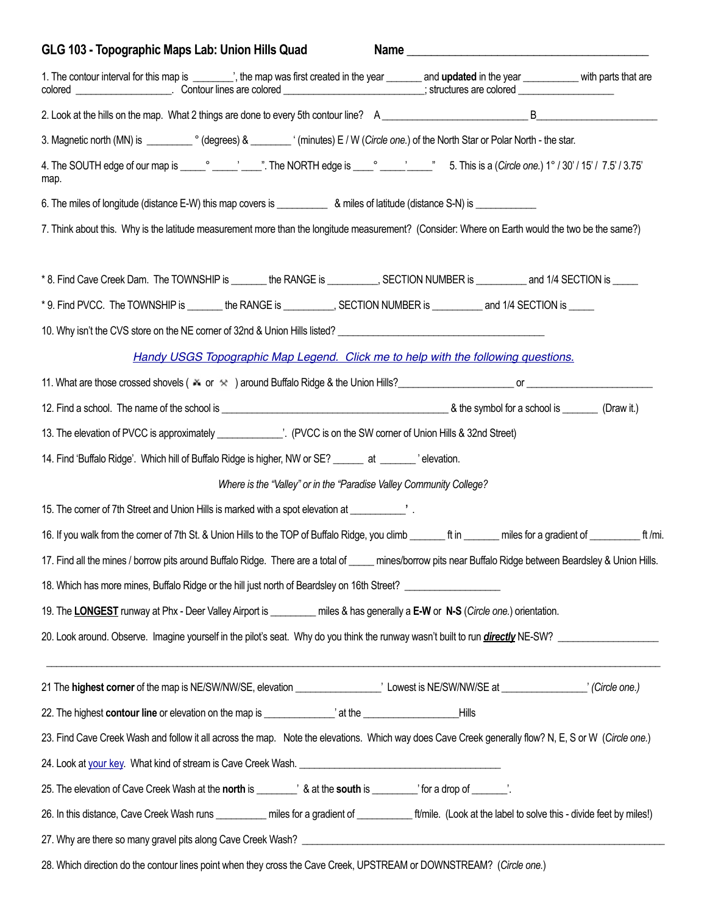| GLG 103 - Topographic Maps Lab: Union Hills Quad                                                                                                                                                                                                                                                   |                                                                     |  |  |
|----------------------------------------------------------------------------------------------------------------------------------------------------------------------------------------------------------------------------------------------------------------------------------------------------|---------------------------------------------------------------------|--|--|
| 1. The contour interval for this map is ________', the map was first created in the year _______ and updated in the year ___________ with parts that are<br>colored _______________________. Contour lines are colored __________________________; structures are colored ________________________ |                                                                     |  |  |
|                                                                                                                                                                                                                                                                                                    |                                                                     |  |  |
|                                                                                                                                                                                                                                                                                                    |                                                                     |  |  |
| map.                                                                                                                                                                                                                                                                                               |                                                                     |  |  |
| 6. The miles of longitude (distance E-W) this map covers is ______________ & miles of latitude (distance S-N) is _____________________                                                                                                                                                             |                                                                     |  |  |
| 7. Think about this. Why is the latitude measurement more than the longitude measurement? (Consider: Where on Earth would the two be the same?)                                                                                                                                                    |                                                                     |  |  |
| *8. Find Cave Creek Dam. The TOWNSHIP is _______ the RANGE is _________, SECTION NUMBER is ________ and 1/4 SECTION is _____                                                                                                                                                                       |                                                                     |  |  |
| *9. Find PVCC. The TOWNSHIP is _______ the RANGE is __________, SECTION NUMBER is _________ and 1/4 SECTION is _____                                                                                                                                                                               |                                                                     |  |  |
|                                                                                                                                                                                                                                                                                                    |                                                                     |  |  |
| Handy USGS Topographic Map Legend. Click me to help with the following questions.                                                                                                                                                                                                                  |                                                                     |  |  |
|                                                                                                                                                                                                                                                                                                    |                                                                     |  |  |
|                                                                                                                                                                                                                                                                                                    |                                                                     |  |  |
| 13. The elevation of PVCC is approximately _______________'. (PVCC is on the SW corner of Union Hills & 32nd Street)                                                                                                                                                                               |                                                                     |  |  |
| 14. Find 'Buffalo Ridge'. Which hill of Buffalo Ridge is higher, NW or SE? ______ at ______ 'elevation.                                                                                                                                                                                            |                                                                     |  |  |
|                                                                                                                                                                                                                                                                                                    | Where is the "Valley" or in the "Paradise Valley Community College? |  |  |
| 15. The corner of 7th Street and Union Hills is marked with a spot elevation at vertical corner of 7th Street and Union Hills is marked with a spot elevation at                                                                                                                                   |                                                                     |  |  |
| 16. If you walk from the corner of 7th St. & Union Hills to the TOP of Buffalo Ridge, you climb ________ ft in ________ miles for a gradient of _____________ ft /mi.                                                                                                                              |                                                                     |  |  |
| 17. Find all the mines / borrow pits around Buffalo Ridge. There are a total of ____ mines/borrow pits near Buffalo Ridge between Beardsley & Union Hills.                                                                                                                                         |                                                                     |  |  |
| 18. Which has more mines, Buffalo Ridge or the hill just north of Beardsley on 16th Street? [100] 16th Street 2                                                                                                                                                                                    |                                                                     |  |  |
| 19. The LONGEST runway at Phx - Deer Valley Airport is _________ miles & has generally a E-W or N-S (Circle one.) orientation.                                                                                                                                                                     |                                                                     |  |  |
| 20. Look around. Observe. Imagine yourself in the pilot's seat. Why do you think the runway wasn't built to run <i>directly</i> NE-SW?                                                                                                                                                             |                                                                     |  |  |
|                                                                                                                                                                                                                                                                                                    |                                                                     |  |  |
|                                                                                                                                                                                                                                                                                                    |                                                                     |  |  |
| 23. Find Cave Creek Wash and follow it all across the map. Note the elevations. Which way does Cave Creek generally flow? N, E, S or W (Circle one.)                                                                                                                                               |                                                                     |  |  |
|                                                                                                                                                                                                                                                                                                    |                                                                     |  |  |
| 25. The elevation of Cave Creek Wash at the north is ________' & at the south is ________' for a drop of ______'.                                                                                                                                                                                  |                                                                     |  |  |
| 26. In this distance, Cave Creek Wash runs ___________ miles for a gradient of ___________ft/mile. (Look at the label to solve this - divide feet by miles!)                                                                                                                                       |                                                                     |  |  |
|                                                                                                                                                                                                                                                                                                    |                                                                     |  |  |
| 28. Which direction do the contour lines point when they cross the Cave Creek, UPSTREAM or DOWNSTREAM? (Circle one.)                                                                                                                                                                               |                                                                     |  |  |